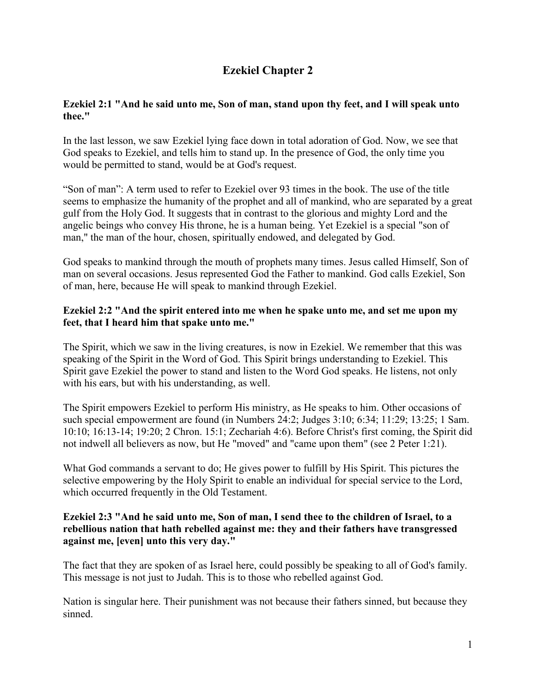# **Ezekiel Chapter 2**

## **Ezekiel 2:1 "And he said unto me, Son of man, stand upon thy feet, and I will speak unto thee."**

In the last lesson, we saw Ezekiel lying face down in total adoration of God. Now, we see that God speaks to Ezekiel, and tells him to stand up. In the presence of God, the only time you would be permitted to stand, would be at God's request.

"Son of man": A term used to refer to Ezekiel over 93 times in the book. The use of the title seems to emphasize the humanity of the prophet and all of mankind, who are separated by a great gulf from the Holy God. It suggests that in contrast to the glorious and mighty Lord and the angelic beings who convey His throne, he is a human being. Yet Ezekiel is a special "son of man," the man of the hour, chosen, spiritually endowed, and delegated by God.

God speaks to mankind through the mouth of prophets many times. Jesus called Himself, Son of man on several occasions. Jesus represented God the Father to mankind. God calls Ezekiel, Son of man, here, because He will speak to mankind through Ezekiel.

#### **Ezekiel 2:2 "And the spirit entered into me when he spake unto me, and set me upon my feet, that I heard him that spake unto me."**

The Spirit, which we saw in the living creatures, is now in Ezekiel. We remember that this was speaking of the Spirit in the Word of God. This Spirit brings understanding to Ezekiel. This Spirit gave Ezekiel the power to stand and listen to the Word God speaks. He listens, not only with his ears, but with his understanding, as well.

The Spirit empowers Ezekiel to perform His ministry, as He speaks to him. Other occasions of such special empowerment are found (in Numbers 24:2; Judges 3:10; 6:34; 11:29; 13:25; 1 Sam. 10:10; 16:13-14; 19:20; 2 Chron. 15:1; Zechariah 4:6). Before Christ's first coming, the Spirit did not indwell all believers as now, but He "moved" and "came upon them" (see 2 Peter 1:21).

What God commands a servant to do; He gives power to fulfill by His Spirit. This pictures the selective empowering by the Holy Spirit to enable an individual for special service to the Lord, which occurred frequently in the Old Testament.

## **Ezekiel 2:3 "And he said unto me, Son of man, I send thee to the children of Israel, to a rebellious nation that hath rebelled against me: they and their fathers have transgressed against me, [even] unto this very day."**

The fact that they are spoken of as Israel here, could possibly be speaking to all of God's family. This message is not just to Judah. This is to those who rebelled against God.

Nation is singular here. Their punishment was not because their fathers sinned, but because they sinned.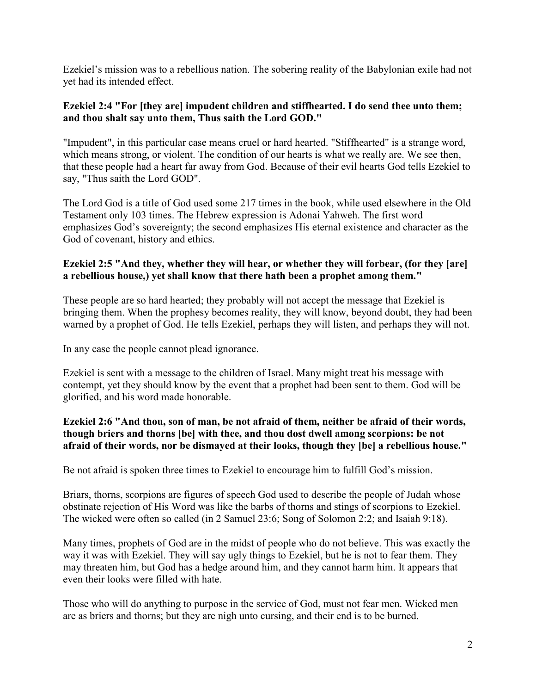Ezekiel's mission was to a rebellious nation. The sobering reality of the Babylonian exile had not yet had its intended effect.

### **Ezekiel 2:4 "For [they are] impudent children and stiffhearted. I do send thee unto them; and thou shalt say unto them, Thus saith the Lord GOD."**

"Impudent", in this particular case means cruel or hard hearted. "Stiffhearted" is a strange word, which means strong, or violent. The condition of our hearts is what we really are. We see then, that these people had a heart far away from God. Because of their evil hearts God tells Ezekiel to say, "Thus saith the Lord GOD".

The Lord God is a title of God used some 217 times in the book, while used elsewhere in the Old Testament only 103 times. The Hebrew expression is Adonai Yahweh. The first word emphasizes God's sovereignty; the second emphasizes His eternal existence and character as the God of covenant, history and ethics.

# **Ezekiel 2:5 "And they, whether they will hear, or whether they will forbear, (for they [are] a rebellious house,) yet shall know that there hath been a prophet among them."**

These people are so hard hearted; they probably will not accept the message that Ezekiel is bringing them. When the prophesy becomes reality, they will know, beyond doubt, they had been warned by a prophet of God. He tells Ezekiel, perhaps they will listen, and perhaps they will not.

In any case the people cannot plead ignorance.

Ezekiel is sent with a message to the children of Israel. Many might treat his message with contempt, yet they should know by the event that a prophet had been sent to them. God will be glorified, and his word made honorable.

#### **Ezekiel 2:6 "And thou, son of man, be not afraid of them, neither be afraid of their words, though briers and thorns [be] with thee, and thou dost dwell among scorpions: be not afraid of their words, nor be dismayed at their looks, though they [be] a rebellious house."**

Be not afraid is spoken three times to Ezekiel to encourage him to fulfill God's mission.

Briars, thorns, scorpions are figures of speech God used to describe the people of Judah whose obstinate rejection of His Word was like the barbs of thorns and stings of scorpions to Ezekiel. The wicked were often so called (in 2 Samuel 23:6; Song of Solomon 2:2; and Isaiah 9:18).

Many times, prophets of God are in the midst of people who do not believe. This was exactly the way it was with Ezekiel. They will say ugly things to Ezekiel, but he is not to fear them. They may threaten him, but God has a hedge around him, and they cannot harm him. It appears that even their looks were filled with hate.

Those who will do anything to purpose in the service of God, must not fear men. Wicked men are as briers and thorns; but they are nigh unto cursing, and their end is to be burned.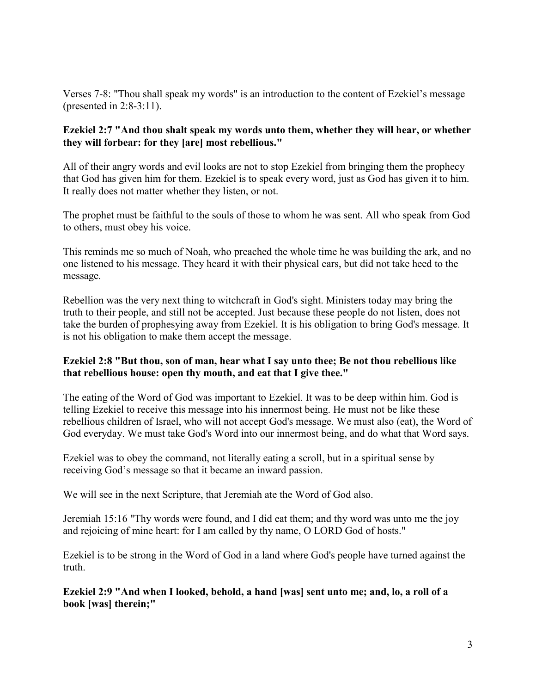Verses 7-8: "Thou shall speak my words" is an introduction to the content of Ezekiel's message (presented in 2:8-3:11).

### **Ezekiel 2:7 "And thou shalt speak my words unto them, whether they will hear, or whether they will forbear: for they [are] most rebellious."**

All of their angry words and evil looks are not to stop Ezekiel from bringing them the prophecy that God has given him for them. Ezekiel is to speak every word, just as God has given it to him. It really does not matter whether they listen, or not.

The prophet must be faithful to the souls of those to whom he was sent. All who speak from God to others, must obey his voice.

This reminds me so much of Noah, who preached the whole time he was building the ark, and no one listened to his message. They heard it with their physical ears, but did not take heed to the message.

Rebellion was the very next thing to witchcraft in God's sight. Ministers today may bring the truth to their people, and still not be accepted. Just because these people do not listen, does not take the burden of prophesying away from Ezekiel. It is his obligation to bring God's message. It is not his obligation to make them accept the message.

#### **Ezekiel 2:8 "But thou, son of man, hear what I say unto thee; Be not thou rebellious like that rebellious house: open thy mouth, and eat that I give thee."**

The eating of the Word of God was important to Ezekiel. It was to be deep within him. God is telling Ezekiel to receive this message into his innermost being. He must not be like these rebellious children of Israel, who will not accept God's message. We must also (eat), the Word of God everyday. We must take God's Word into our innermost being, and do what that Word says.

Ezekiel was to obey the command, not literally eating a scroll, but in a spiritual sense by receiving God's message so that it became an inward passion.

We will see in the next Scripture, that Jeremiah ate the Word of God also.

Jeremiah 15:16 "Thy words were found, and I did eat them; and thy word was unto me the joy and rejoicing of mine heart: for I am called by thy name, O LORD God of hosts."

Ezekiel is to be strong in the Word of God in a land where God's people have turned against the truth.

**Ezekiel 2:9 "And when I looked, behold, a hand [was] sent unto me; and, lo, a roll of a book [was] therein;"**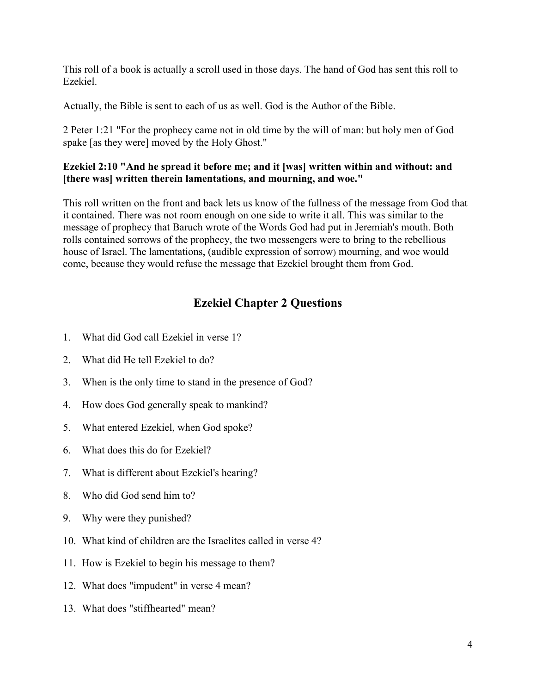This roll of a book is actually a scroll used in those days. The hand of God has sent this roll to Ezekiel.

Actually, the Bible is sent to each of us as well. God is the Author of the Bible.

2 Peter 1:21 "For the prophecy came not in old time by the will of man: but holy men of God spake [as they were] moved by the Holy Ghost."

## **Ezekiel 2:10 "And he spread it before me; and it [was] written within and without: and [there was] written therein lamentations, and mourning, and woe."**

This roll written on the front and back lets us know of the fullness of the message from God that it contained. There was not room enough on one side to write it all. This was similar to the message of prophecy that Baruch wrote of the Words God had put in Jeremiah's mouth. Both rolls contained sorrows of the prophecy, the two messengers were to bring to the rebellious house of Israel. The lamentations, (audible expression of sorrow) mourning, and woe would come, because they would refuse the message that Ezekiel brought them from God.

# **Ezekiel Chapter 2 Questions**

- 1. What did God call Ezekiel in verse 1?
- 2. What did He tell Ezekiel to do?
- 3. When is the only time to stand in the presence of God?
- 4. How does God generally speak to mankind?
- 5. What entered Ezekiel, when God spoke?
- 6. What does this do for Ezekiel?
- 7. What is different about Ezekiel's hearing?
- 8. Who did God send him to?
- 9. Why were they punished?
- 10. What kind of children are the Israelites called in verse 4?
- 11. How is Ezekiel to begin his message to them?
- 12. What does "impudent" in verse 4 mean?
- 13. What does "stiffhearted" mean?